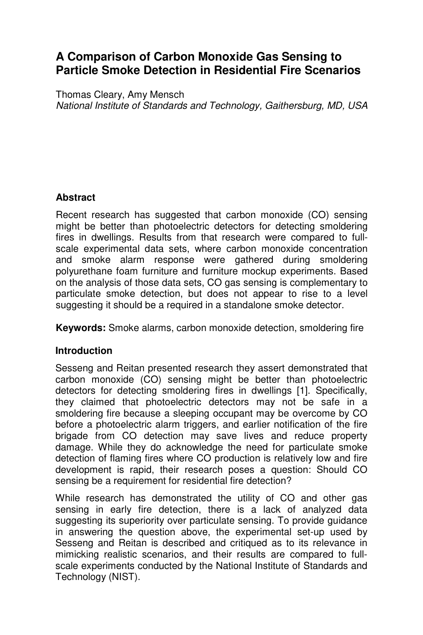# **A Comparison of Carbon Monoxide Gas Sensing to Particle Smoke Detection in Residential Fire Scenarios**

Thomas Cleary, Amy Mensch National Institute of Standards and Technology, Gaithersburg, MD, USA

### **Abstract**

Recent research has suggested that carbon monoxide (CO) sensing might be better than photoelectric detectors for detecting smoldering fires in dwellings. Results from that research were compared to fullscale experimental data sets, where carbon monoxide concentration and smoke alarm response were gathered during smoldering polyurethane foam furniture and furniture mockup experiments. Based on the analysis of those data sets, CO gas sensing is complementary to particulate smoke detection, but does not appear to rise to a level suggesting it should be a required in a standalone smoke detector.

**Keywords:** Smoke alarms, carbon monoxide detection, smoldering fire

## **Introduction**

Sesseng and Reitan presented research they assert demonstrated that carbon monoxide (CO) sensing might be better than photoelectric detectors for detecting smoldering fires in dwellings [1]. Specifically, they claimed that photoelectric detectors may not be safe in a smoldering fire because a sleeping occupant may be overcome by CO before a photoelectric alarm triggers, and earlier notification of the fire brigade from CO detection may save lives and reduce property damage. While they do acknowledge the need for particulate smoke detection of flaming fires where CO production is relatively low and fire development is rapid, their research poses a question: Should CO sensing be a requirement for residential fire detection?

While research has demonstrated the utility of CO and other gas sensing in early fire detection, there is a lack of analyzed data suggesting its superiority over particulate sensing. To provide guidance in answering the question above, the experimental set-up used by Sesseng and Reitan is described and critiqued as to its relevance in mimicking realistic scenarios, and their results are compared to fullscale experiments conducted by the National Institute of Standards and Technology (NIST).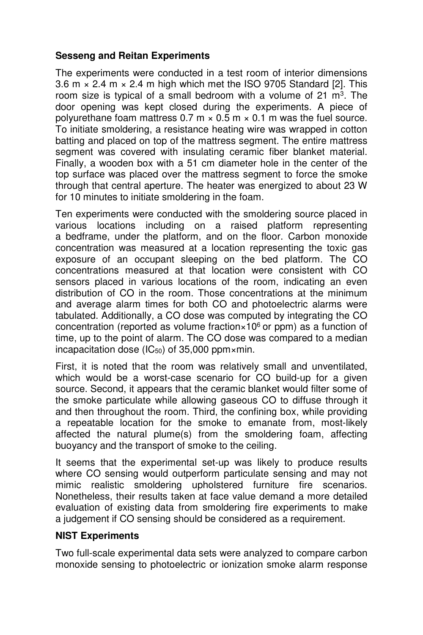#### **Sesseng and Reitan Experiments**

The experiments were conducted in a test room of interior dimensions 3.6 m  $\times$  2.4 m  $\times$  2.4 m high which met the ISO 9705 Standard [2]. This room size is typical of a small bedroom with a volume of 21 m<sup>3</sup>. The door opening was kept closed during the experiments. A piece of polyurethane foam mattress  $0.7 \text{ m} \times 0.5 \text{ m} \times 0.1 \text{ m}$  was the fuel source. To initiate smoldering, a resistance heating wire was wrapped in cotton batting and placed on top of the mattress segment. The entire mattress segment was covered with insulating ceramic fiber blanket material. Finally, a wooden box with a 51 cm diameter hole in the center of the top surface was placed over the mattress segment to force the smoke through that central aperture. The heater was energized to about 23 W for 10 minutes to initiate smoldering in the foam.

Ten experiments were conducted with the smoldering source placed in various locations including on a raised platform representing a bedframe, under the platform, and on the floor. Carbon monoxide concentration was measured at a location representing the toxic gas exposure of an occupant sleeping on the bed platform. The CO concentrations measured at that location were consistent with CO sensors placed in various locations of the room, indicating an even distribution of CO in the room. Those concentrations at the minimum and average alarm times for both CO and photoelectric alarms were tabulated. Additionally, a CO dose was computed by integrating the CO concentration (reported as volume fraction  $\times$  10<sup>6</sup> or ppm) as a function of time, up to the point of alarm. The CO dose was compared to a median incapacitation dose ( $IC_{50}$ ) of 35,000 ppm $\times$ min.

First, it is noted that the room was relatively small and unventilated, which would be a worst-case scenario for CO build-up for a given source. Second, it appears that the ceramic blanket would filter some of the smoke particulate while allowing gaseous CO to diffuse through it and then throughout the room. Third, the confining box, while providing a repeatable location for the smoke to emanate from, most-likely affected the natural plume(s) from the smoldering foam, affecting buoyancy and the transport of smoke to the ceiling.

It seems that the experimental set-up was likely to produce results where CO sensing would outperform particulate sensing and may not mimic realistic smoldering upholstered furniture fire scenarios. Nonetheless, their results taken at face value demand a more detailed evaluation of existing data from smoldering fire experiments to make a judgement if CO sensing should be considered as a requirement.

#### **NIST Experiments**

Two full-scale experimental data sets were analyzed to compare carbon monoxide sensing to photoelectric or ionization smoke alarm response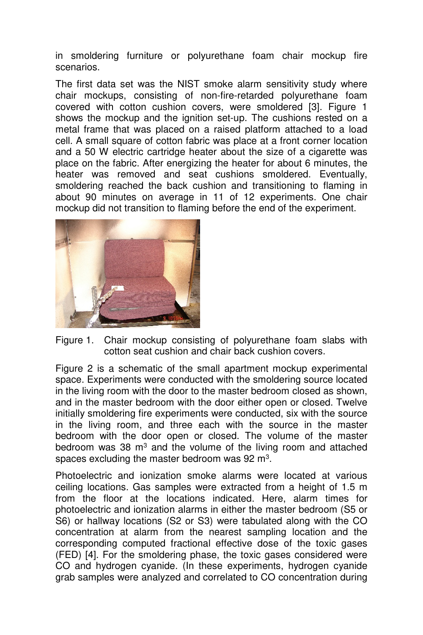in smoldering furniture or polyurethane foam chair mockup fire scenarios.

The first data set was the NIST smoke alarm sensitivity study where chair mockups, consisting of non-fire-retarded polyurethane foam covered with cotton cushion covers, were smoldered [3]. Figure 1 shows the mockup and the ignition set-up. The cushions rested on a metal frame that was placed on a raised platform attached to a load cell. A small square of cotton fabric was place at a front corner location and a 50 W electric cartridge heater about the size of a cigarette was place on the fabric. After energizing the heater for about 6 minutes, the heater was removed and seat cushions smoldered. Eventually, smoldering reached the back cushion and transitioning to flaming in about 90 minutes on average in 11 of 12 experiments. One chair mockup did not transition to flaming before the end of the experiment.



Figure 1. Chair mockup consisting of polyurethane foam slabs with cotton seat cushion and chair back cushion covers.

Figure 2 is a schematic of the small apartment mockup experimental space. Experiments were conducted with the smoldering source located in the living room with the door to the master bedroom closed as shown, and in the master bedroom with the door either open or closed. Twelve initially smoldering fire experiments were conducted, six with the source in the living room, and three each with the source in the master bedroom with the door open or closed. The volume of the master bedroom was 38 m<sup>3</sup> and the volume of the living room and attached spaces excluding the master bedroom was 92 m<sup>3</sup>.

Photoelectric and ionization smoke alarms were located at various ceiling locations. Gas samples were extracted from a height of 1.5 m from the floor at the locations indicated. Here, alarm times for photoelectric and ionization alarms in either the master bedroom (S5 or S6) or hallway locations (S2 or S3) were tabulated along with the CO concentration at alarm from the nearest sampling location and the corresponding computed fractional effective dose of the toxic gases (FED) [4]. For the smoldering phase, the toxic gases considered were CO and hydrogen cyanide. (In these experiments, hydrogen cyanide grab samples were analyzed and correlated to CO concentration during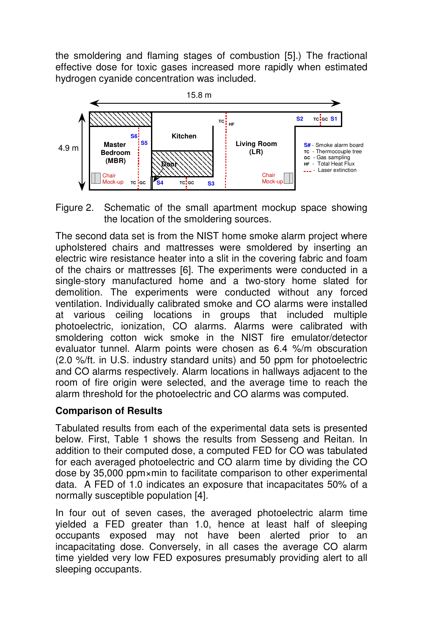the smoldering and flaming stages of combustion [5].) The fractional effective dose for toxic gases increased more rapidly when estimated hydrogen cyanide concentration was included.



Figure 2. Schematic of the small apartment mockup space showing the location of the smoldering sources.

The second data set is from the NIST home smoke alarm project where upholstered chairs and mattresses were smoldered by inserting an electric wire resistance heater into a slit in the covering fabric and foam of the chairs or mattresses [6]. The experiments were conducted in a single-story manufactured home and a two-story home slated for demolition. The experiments were conducted without any forced ventilation. Individually calibrated smoke and CO alarms were installed at various ceiling locations in groups that included multiple photoelectric, ionization, CO alarms. Alarms were calibrated with smoldering cotton wick smoke in the NIST fire emulator/detector evaluator tunnel. Alarm points were chosen as 6.4 %/m obscuration (2.0 %/ft. in U.S. industry standard units) and 50 ppm for photoelectric and CO alarms respectively. Alarm locations in hallways adjacent to the room of fire origin were selected, and the average time to reach the alarm threshold for the photoelectric and CO alarms was computed.

## **Comparison of Results**

Tabulated results from each of the experimental data sets is presented below. First, Table 1 shows the results from Sesseng and Reitan. In addition to their computed dose, a computed FED for CO was tabulated for each averaged photoelectric and CO alarm time by dividing the CO dose by 35,000 ppm×min to facilitate comparison to other experimental data. A FED of 1.0 indicates an exposure that incapacitates 50% of a normally susceptible population [4].

In four out of seven cases, the averaged photoelectric alarm time yielded a FED greater than 1.0, hence at least half of sleeping occupants exposed may not have been alerted prior to an incapacitating dose. Conversely, in all cases the average CO alarm time yielded very low FED exposures presumably providing alert to all sleeping occupants.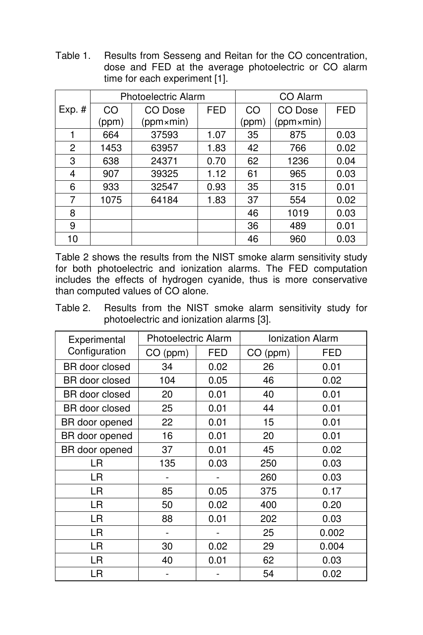Table 1. Results from Sesseng and Reitan for the CO concentration, dose and FED at the average photoelectric or CO alarm time for each experiment [1].

|          | <b>Photoelectric Alarm</b> |           |            | CO Alarm |           |            |
|----------|----------------------------|-----------|------------|----------|-----------|------------|
| $Exp.$ # | CO                         | CO Dose   | <b>FED</b> | CO       | CO Dose   | <b>FED</b> |
|          | (ppm)                      | (ppm×min) |            | (ppm)    | (ppm×min) |            |
|          | 664                        | 37593     | 1.07       | 35       | 875       | 0.03       |
| 2        | 1453                       | 63957     | 1.83       | 42       | 766       | 0.02       |
| 3        | 638                        | 24371     | 0.70       | 62       | 1236      | 0.04       |
| 4        | 907                        | 39325     | 1.12       | 61       | 965       | 0.03       |
| 6        | 933                        | 32547     | 0.93       | 35       | 315       | 0.01       |
| 7        | 1075                       | 64184     | 1.83       | 37       | 554       | 0.02       |
| 8        |                            |           |            | 46       | 1019      | 0.03       |
| 9        |                            |           |            | 36       | 489       | 0.01       |
| 10       |                            |           |            | 46       | 960       | 0.03       |

Table 2 shows the results from the NIST smoke alarm sensitivity study for both photoelectric and ionization alarms. The FED computation includes the effects of hydrogen cyanide, thus is more conservative than computed values of CO alone.

Table 2. Results from the NIST smoke alarm sensitivity study for photoelectric and ionization alarms [3].

| Experimental   | <b>Photoelectric Alarm</b> |            | <b>Ionization Alarm</b> |       |  |
|----------------|----------------------------|------------|-------------------------|-------|--|
| Configuration  | CO (ppm)                   | <b>FED</b> | CO (ppm)                | FED   |  |
| BR door closed | 34                         | 0.02       | 26                      | 0.01  |  |
| BR door closed | 104                        | 0.05       | 46                      | 0.02  |  |
| BR door closed | 20                         | 0.01       | 40                      | 0.01  |  |
| BR door closed | 25                         | 0.01       | 44                      | 0.01  |  |
| BR door opened | 22                         | 0.01       | 15                      | 0.01  |  |
| BR door opened | 16                         | 0.01       | 20                      | 0.01  |  |
| BR door opened | 37                         | 0.01       | 45                      | 0.02  |  |
| LR             | 135                        | 0.03       | 250                     | 0.03  |  |
| LR             |                            |            | 260                     | 0.03  |  |
| LR.            | 85                         | 0.05       | 375                     | 0.17  |  |
| LR             | 50                         | 0.02       | 400                     | 0.20  |  |
| LR.            | 88                         | 0.01       | 202                     | 0.03  |  |
| <b>LR</b>      | $\overline{\phantom{0}}$   |            | 25                      | 0.002 |  |
| LR.            | 30                         | 0.02       | 29                      | 0.004 |  |
| LR             | 40                         | 0.01       | 62                      | 0.03  |  |
| LR             |                            |            | 54                      | 0.02  |  |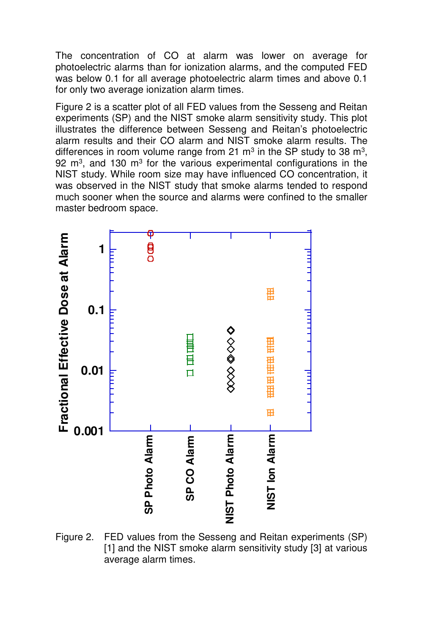The concentration of CO at alarm was lower on average for photoelectric alarms than for ionization alarms, and the computed FED was below 0.1 for all average photoelectric alarm times and above 0.1 for only two average ionization alarm times.

Figure 2 is a scatter plot of all FED values from the Sesseng and Reitan experiments (SP) and the NIST smoke alarm sensitivity study. This plot illustrates the difference between Sesseng and Reitan's photoelectric alarm results and their CO alarm and NIST smoke alarm results. The differences in room volume range from 21  $\text{m}^3$  in the SP study to 38  $\text{m}^3$ , 92 m<sup>3</sup>, and 130 m<sup>3</sup> for the various experimental configurations in the NIST study. While room size may have influenced CO concentration, it was observed in the NIST study that smoke alarms tended to respond much sooner when the source and alarms were confined to the smaller master bedroom space.



Figure 2. FED values from the Sesseng and Reitan experiments (SP) [1] and the NIST smoke alarm sensitivity study [3] at various average alarm times.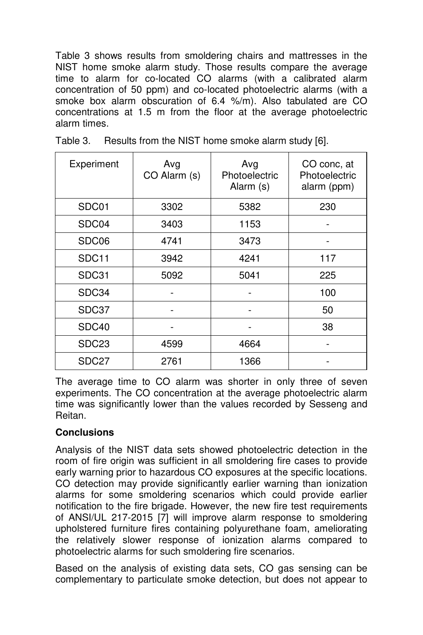Table 3 shows results from smoldering chairs and mattresses in the NIST home smoke alarm study. Those results compare the average time to alarm for co-located CO alarms (with a calibrated alarm concentration of 50 ppm) and co-located photoelectric alarms (with a smoke box alarm obscuration of 6.4 %/m). Also tabulated are CO concentrations at 1.5 m from the floor at the average photoelectric alarm times.

| Experiment        | Avg<br>CO Alarm (s) | Avg<br>Photoelectric<br>Alarm (s) | CO conc, at<br>Photoelectric<br>alarm (ppm) |
|-------------------|---------------------|-----------------------------------|---------------------------------------------|
| SDC01             | 3302                | 5382                              | 230                                         |
| SDC04             | 3403                | 1153                              |                                             |
| SDC06             | 4741                | 3473                              |                                             |
| SDC <sub>11</sub> | 3942                | 4241                              | 117                                         |
| SDC31             | 5092                | 5041                              | 225                                         |
| SDC34             |                     |                                   | 100                                         |
| SDC37             |                     |                                   | 50                                          |
| SDC40             |                     |                                   | 38                                          |
| SDC <sub>23</sub> | 4599                | 4664                              |                                             |
| SDC <sub>27</sub> | 2761                | 1366                              |                                             |

Table 3. Results from the NIST home smoke alarm study [6].

The average time to CO alarm was shorter in only three of seven experiments. The CO concentration at the average photoelectric alarm time was significantly lower than the values recorded by Sesseng and Reitan.

#### **Conclusions**

Analysis of the NIST data sets showed photoelectric detection in the room of fire origin was sufficient in all smoldering fire cases to provide early warning prior to hazardous CO exposures at the specific locations. CO detection may provide significantly earlier warning than ionization alarms for some smoldering scenarios which could provide earlier notification to the fire brigade. However, the new fire test requirements of ANSI/UL 217-2015 [7] will improve alarm response to smoldering upholstered furniture fires containing polyurethane foam, ameliorating the relatively slower response of ionization alarms compared to photoelectric alarms for such smoldering fire scenarios.

Based on the analysis of existing data sets, CO gas sensing can be complementary to particulate smoke detection, but does not appear to